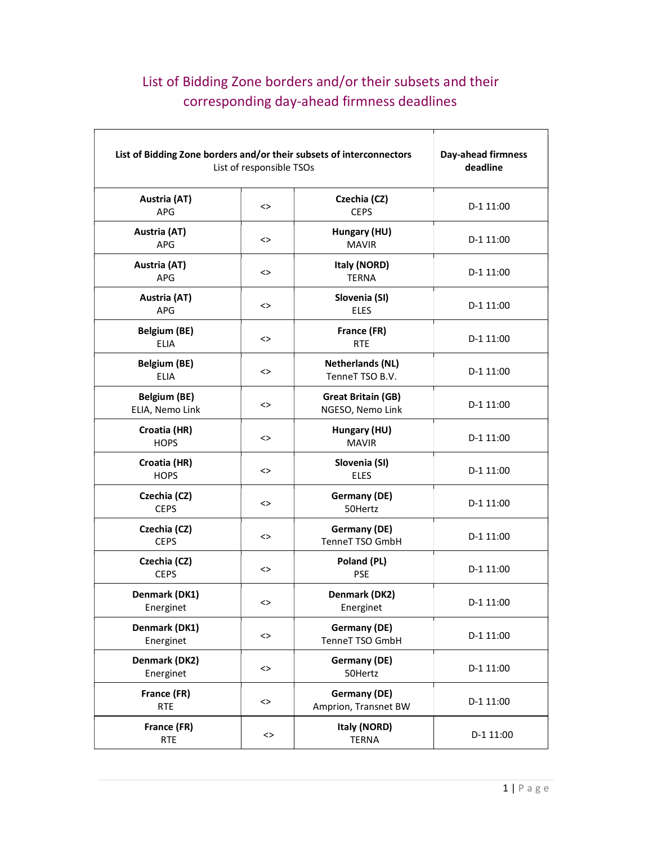## List of Bidding Zone borders and/or their subsets and their corresponding day-ahead firmness deadlines

| List of Bidding Zone borders and/or their subsets of interconnectors<br>List of responsible TSOs |          |                                               | Day-ahead firmness<br>deadline |
|--------------------------------------------------------------------------------------------------|----------|-----------------------------------------------|--------------------------------|
| Austria (AT)<br>APG                                                                              | <>       | Czechia (CZ)<br><b>CEPS</b>                   | D-1 11:00                      |
| Austria (AT)<br>APG                                                                              | <>       | Hungary (HU)<br><b>MAVIR</b>                  | D-1 11:00                      |
| Austria (AT)<br><b>APG</b>                                                                       | <>       | Italy (NORD)<br><b>TERNA</b>                  | D-1 11:00                      |
| Austria (AT)<br>APG                                                                              | <>       | Slovenia (SI)<br><b>ELES</b>                  | D-1 11:00                      |
| <b>Belgium (BE)</b><br><b>ELIA</b>                                                               | <>       | France (FR)<br><b>RTE</b>                     | D-1 11:00                      |
| <b>Belgium (BE)</b><br><b>ELIA</b>                                                               | <>       | <b>Netherlands (NL)</b><br>TenneT TSO B.V.    | D-1 11:00                      |
| <b>Belgium (BE)</b><br>ELIA, Nemo Link                                                           | <>       | <b>Great Britain (GB)</b><br>NGESO, Nemo Link | D-1 11:00                      |
| Croatia (HR)<br><b>HOPS</b>                                                                      | <>       | Hungary (HU)<br><b>MAVIR</b>                  | D-1 11:00                      |
| Croatia (HR)<br><b>HOPS</b>                                                                      | <>       | Slovenia (SI)<br><b>ELES</b>                  | D-1 11:00                      |
| Czechia (CZ)<br><b>CEPS</b>                                                                      | <>       | <b>Germany (DE)</b><br>50Hertz                | D-1 11:00                      |
| Czechia (CZ)<br><b>CEPS</b>                                                                      | <>       | Germany (DE)<br>TenneT TSO GmbH               | D-1 11:00                      |
| Czechia (CZ)<br><b>CEPS</b>                                                                      | <>       | Poland (PL)<br><b>PSE</b>                     | D-1 11:00                      |
| Denmark (DK1)<br>Energinet                                                                       | <>       | Denmark (DK2)<br>Energinet                    | D-1 11:00                      |
| Denmark (DK1)<br>Energinet                                                                       | <>       | Germany (DE)<br>TenneT TSO GmbH               | D-1 11:00                      |
| Denmark (DK2)<br>Energinet                                                                       | $\dotsc$ | Germany (DE)<br>50Hertz                       | D-1 11:00                      |
| France (FR)<br><b>RTE</b>                                                                        | <>       | Germany (DE)<br>Amprion, Transnet BW          | D-1 11:00                      |
| France (FR)<br><b>RTE</b>                                                                        | <>       | Italy (NORD)<br><b>TERNA</b>                  | D-1 11:00                      |

 $\overline{\phantom{a}}$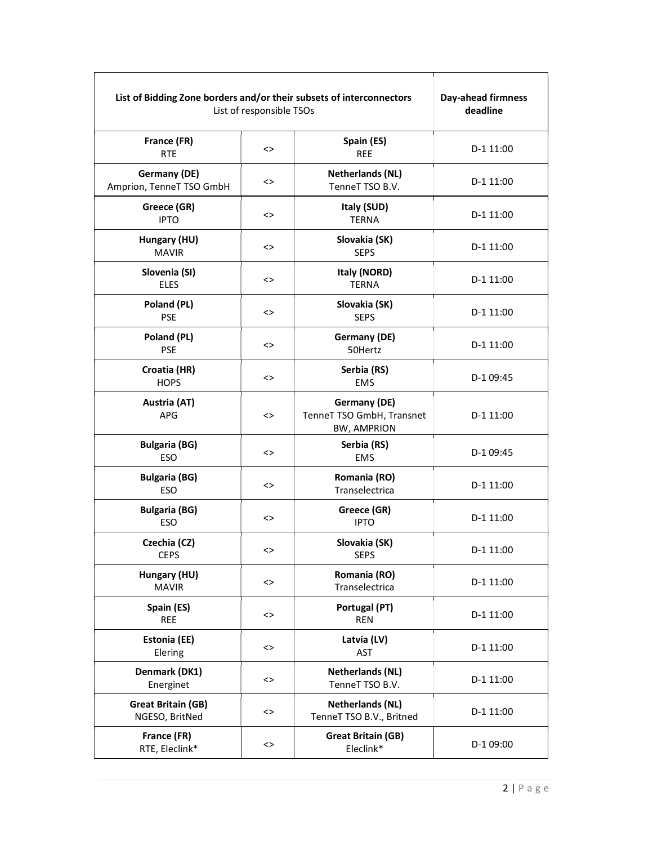| List of Bidding Zone borders and/or their subsets of interconnectors<br>List of responsible TSOs | Day-ahead firmness<br>deadline |                                                                 |           |
|--------------------------------------------------------------------------------------------------|--------------------------------|-----------------------------------------------------------------|-----------|
| France (FR)<br><b>RTE</b>                                                                        | $\left\langle \right\rangle$   | Spain (ES)<br><b>REE</b>                                        | D-1 11:00 |
| <b>Germany (DE)</b><br>Amprion, TenneT TSO GmbH                                                  | <>                             | <b>Netherlands (NL)</b><br>TenneT TSO B.V.                      | D-1 11:00 |
| Greece (GR)<br><b>IPTO</b>                                                                       | <>                             | Italy (SUD)<br><b>TERNA</b>                                     | D-1 11:00 |
| Hungary (HU)<br><b>MAVIR</b>                                                                     | $\left\langle \right\rangle$   | Slovakia (SK)<br><b>SEPS</b>                                    | D-1 11:00 |
| Slovenia (SI)<br><b>ELES</b>                                                                     | $\leftrightarrow$              | Italy (NORD)<br><b>TERNA</b>                                    | D-1 11:00 |
| Poland (PL)<br><b>PSE</b>                                                                        | $\dotsc$                       | Slovakia (SK)<br><b>SEPS</b>                                    | D-1 11:00 |
| Poland (PL)<br><b>PSE</b>                                                                        | $\leftrightarrow$              | Germany (DE)<br>50Hertz                                         | D-1 11:00 |
| Croatia (HR)<br><b>HOPS</b>                                                                      | $\left\langle \right\rangle$   | Serbia (RS)<br>EMS                                              | D-1 09:45 |
| Austria (AT)<br><b>APG</b>                                                                       | $\dotsc$                       | Germany (DE)<br>TenneT TSO GmbH, Transnet<br><b>BW, AMPRION</b> | D-1 11:00 |
| <b>Bulgaria (BG)</b><br><b>ESO</b>                                                               | $\leftrightarrow$              | Serbia (RS)<br><b>EMS</b>                                       | D-1 09:45 |
| <b>Bulgaria (BG)</b><br><b>ESO</b>                                                               | $\dotsc$                       | Romania (RO)<br>Transelectrica                                  | D-1 11:00 |
| <b>Bulgaria (BG)</b><br><b>ESO</b>                                                               | <>                             | Greece (GR)<br><b>IPTO</b>                                      | D-1 11:00 |
| Czechia (CZ)<br><b>CEPS</b>                                                                      | <>                             | Slovakia (SK)<br><b>SEPS</b>                                    | D-1 11:00 |
| Hungary (HU)<br><b>MAVIR</b>                                                                     | $\dotsc$                       | Romania (RO)<br>Transelectrica                                  | D-1 11:00 |
| Spain (ES)<br><b>REE</b>                                                                         | $\dotsc$                       | Portugal (PT)<br><b>REN</b>                                     | D-1 11:00 |
| <b>Estonia (EE)</b><br>Elering                                                                   | $\dotsc$                       | Latvia (LV)<br>AST                                              | D-1 11:00 |
| Denmark (DK1)<br>Energinet                                                                       | $\dotsc$                       | <b>Netherlands (NL)</b><br>TenneT TSO B.V.                      | D-1 11:00 |
| <b>Great Britain (GB)</b><br>NGESO, BritNed                                                      | $\dotsc$                       | <b>Netherlands (NL)</b><br>TenneT TSO B.V., Britned             | D-1 11:00 |
| France (FR)<br>RTE, Eleclink*                                                                    | <>                             | <b>Great Britain (GB)</b><br>Eleclink*                          | D-1 09:00 |